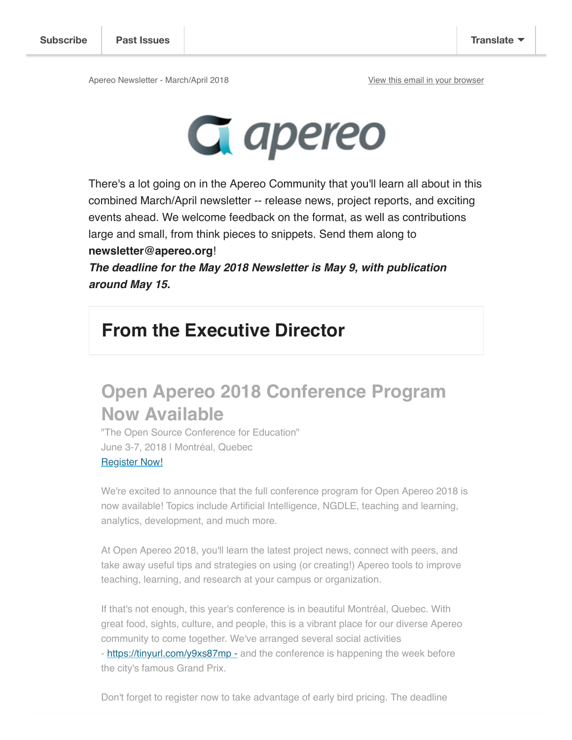Apereo Newsletter - March/April 2018 View this email in your browser



There's a lot going on in the Apereo Community that you'll learn all about in this combined March/April newsletter -- release news, project reports, and exciting events ahead. We welcome feedback on the format, as well as contributions large and small, from think pieces to snippets. Send them along to **newsletter@apereo.org**!

**The deadline for the May 2018 Newsletter is May 9, with publication around May 15.** 

### **From the Executive Director**

### **Open Apereo 2018 Conference Program Now Available**

"The Open Source Conference for Education" June 3-7, 2018 | Montréal, Quebec Register Now!

We're excited to announce that the full conference program for Open Apereo 2018 is now available! Topics include Artificial Intelligence, NGDLE, teaching and learning, analytics, development, and much more.

At Open Apereo 2018, you'll learn the latest project news, connect with peers, and take away useful tips and strategies on using (or creating!) Apereo tools to improve teaching, learning, and research at your campus or organization.

If that's not enough, this year's conference is in beautiful Montréal, Quebec. With great food, sights, culture, and people, this is a vibrant place for our diverse Apereo community to come together. We've arranged several social activities - https://tinyurl.com/y9xs87mp - and the conference is happening the week before the city's famous Grand Prix.

Don't forget to register now to take advantage of early bird pricing. The deadline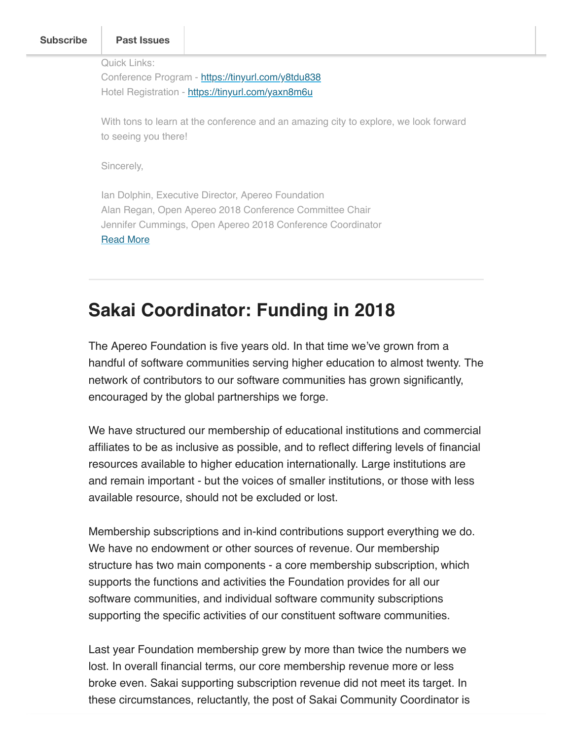|            | <b>Past Issues</b>                                                                   |
|------------|--------------------------------------------------------------------------------------|
|            | Quick Links:                                                                         |
|            | Conference Program - https://tinyurl.com/y8tdu838                                    |
|            | Hotel Registration - https://tinyurl.com/yaxn8m6u                                    |
|            |                                                                                      |
|            | With tons to learn at the conference and an amazing city to explore, we look forward |
|            | to seeing you there!                                                                 |
| Sincerely, |                                                                                      |
|            |                                                                                      |
|            | Ian Dolphin, Executive Director, Apereo Foundation                                   |
|            | Alan Regan, Open Apereo 2018 Conference Committee Chair                              |
|            | Jennifer Cummings, Open Apereo 2018 Conference Coordinator                           |
|            | <b>Read More</b>                                                                     |

### **Sakai Coordinator: Funding in 2018**

The Apereo Foundation is five years old. In that time we've grown from a handful of software communities serving higher education to almost twenty. The network of contributors to our software communities has grown significantly, encouraged by the global partnerships we forge.

We have structured our membership of educational institutions and commercial affiliates to be as inclusive as possible, and to reflect differing levels of financial resources available to higher education internationally. Large institutions are and remain important - but the voices of smaller institutions, or those with less available resource, should not be excluded or lost.

Membership subscriptions and in-kind contributions support everything we do. We have no endowment or other sources of revenue. Our membership structure has two main components - a core membership subscription, which supports the functions and activities the Foundation provides for all our software communities, and individual software community subscriptions supporting the specific activities of our constituent software communities.

Last year Foundation membership grew by more than twice the numbers we lost. In overall financial terms, our core membership revenue more or less broke even. Sakai supporting subscription revenue did not meet its target. In these circumstances, reluctantly, the post of Sakai Community Coordinator is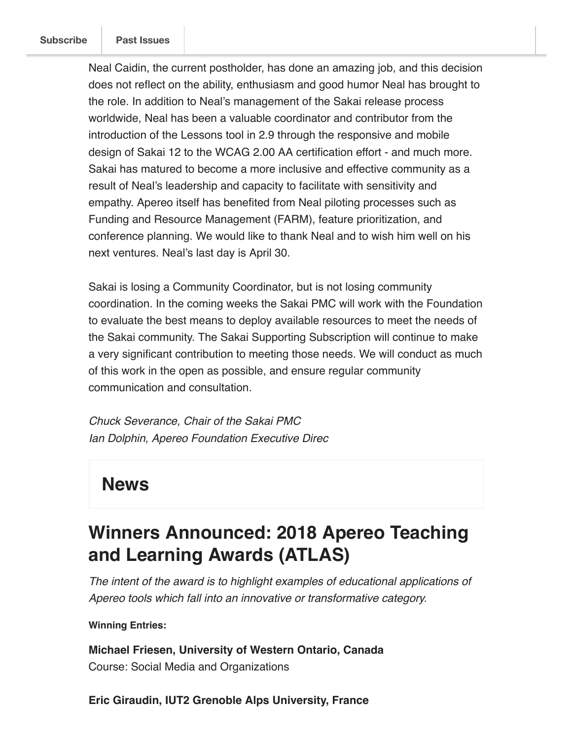Neal Caidin, the current postholder, has done an amazing job, and this decision does not reflect on the ability, enthusiasm and good humor Neal has brought to the role. In addition to Neal's management of the Sakai release process worldwide, Neal has been a valuable coordinator and contributor from the introduction of the Lessons tool in 2.9 through the responsive and mobile design of Sakai 12 to the WCAG 2.00 AA certification effort - and much more. Sakai has matured to become a more inclusive and effective community as a result of Neal's leadership and capacity to facilitate with sensitivity and empathy. Apereo itself has benefited from Neal piloting processes such as Funding and Resource Management (FARM), feature prioritization, and conference planning. We would like to thank Neal and to wish him well on his next ventures. Neal's last day is April 30.

Sakai is losing a Community Coordinator, but is not losing community coordination. In the coming weeks the Sakai PMC will work with the Foundation to evaluate the best means to deploy available resources to meet the needs of the Sakai community. The Sakai Supporting Subscription will continue to make a very significant contribution to meeting those needs. We will conduct as much of this work in the open as possible, and ensure regular community communication and consultation.

Chuck Severance, Chair of the Sakai PMC Ian Dolphin, Apereo Foundation Executive Direc

### **News**

### **Winners Announced: 2018 Apereo Teaching and Learning Awards (ATLAS)**

The intent of the award is to highlight examples of educational applications of Apereo tools which fall into an innovative or transformative category.

### **Winning Entries:**

**Michael Friesen, University of Western Ontario, Canada**  Course: Social Media and Organizations

**Eric Giraudin, IUT2 Grenoble Alps University, France**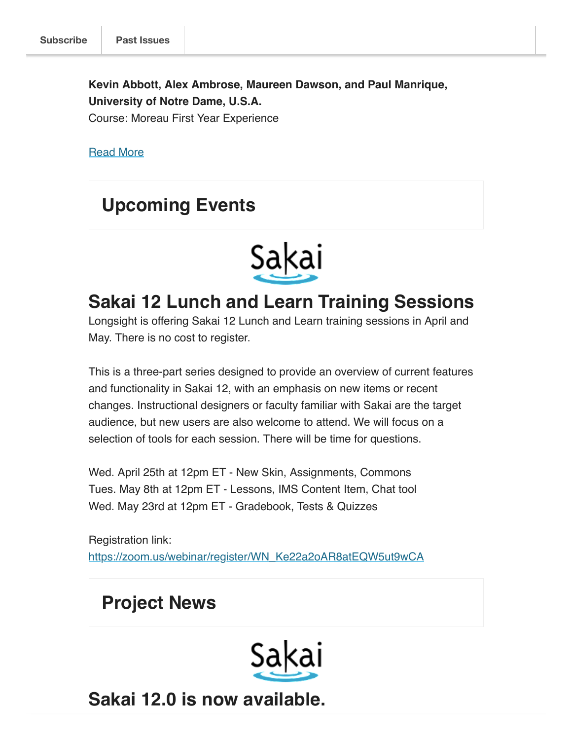**Kevin Abbott, Alex Ambrose, Maureen Dawson, and Paul Manrique, University of Notre Dame, U.S.A.**

Course: Moreau First Year Experience

Read More

### **Upcoming Events**



### **Sakai 12 Lunch and Learn Training Sessions**

Longsight is offering Sakai 12 Lunch and Learn training sessions in April and May. There is no cost to register.

This is a three-part series designed to provide an overview of current features and functionality in Sakai 12, with an emphasis on new items or recent changes. Instructional designers or faculty familiar with Sakai are the target audience, but new users are also welcome to attend. We will focus on a selection of tools for each session. There will be time for questions.

Wed. April 25th at 12pm ET - New Skin, Assignments, Commons Tues. May 8th at 12pm ET - Lessons, IMS Content Item, Chat tool Wed. May 23rd at 12pm ET - Gradebook, Tests & Quizzes

Registration link: https://zoom.us/webinar/register/WN\_Ke22a2oAR8atEQW5ut9wCA

**Project News**



**Sakai 12.0 is now available.**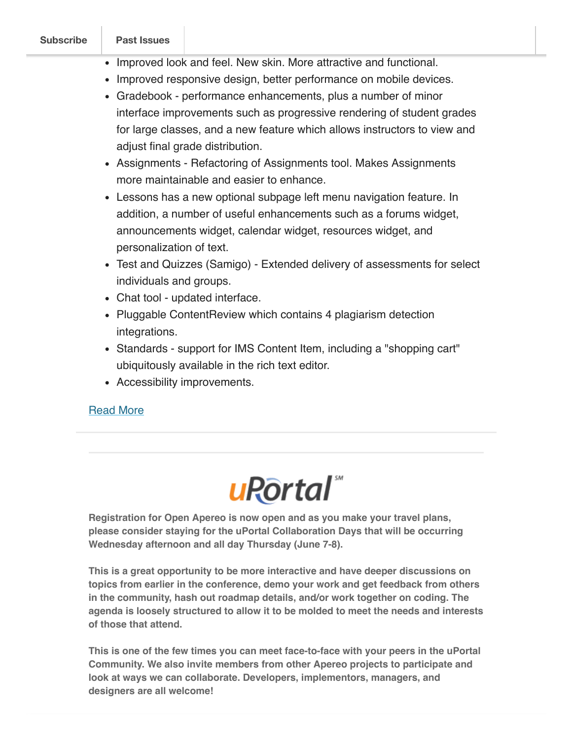|  | Subscribe |  |
|--|-----------|--|
|  |           |  |

 $\begin{array}{ccc} \textsf{Subscript} & \textsf{P} \\ \textsf{Post} & \textsf{Issues} \end{array}$ 

- Improved look and feel. New skin. More attractive and functional.
- Improved responsive design, better performance on mobile devices.
- Gradebook performance enhancements, plus a number of minor interface improvements such as progressive rendering of student grades for large classes, and a new feature which allows instructors to view and adjust final grade distribution.
- Assignments Refactoring of Assignments tool. Makes Assignments more maintainable and easier to enhance.
- Lessons has a new optional subpage left menu navigation feature. In addition, a number of useful enhancements such as a forums widget, announcements widget, calendar widget, resources widget, and personalization of text.
- Test and Quizzes (Samigo) Extended delivery of assessments for select individuals and groups.
- Chat tool updated interface.
- Pluggable Content Review which contains 4 plagiarism detection integrations.
- Standards support for IMS Content Item, including a "shopping cart" ubiquitously available in the rich text editor.
- Accessibility improvements.

### Read More

# u<sub>Rortal</sub>

**Registration for Open Apereo is now open and as you make your travel plans, please consider staying for the uPortal Collaboration Days that will be occurring Wednesday afternoon and all day Thursday (June 7-8).**

**This is a great opportunity to be more interactive and have deeper discussions on topics from earlier in the conference, demo your work and get feedback from others in the community, hash out roadmap details, and/or work together on coding. The agenda is loosely structured to allow it to be molded to meet the needs and interests of those that attend.**

**This is one of the few times you can meet face-to-face with your peers in the uPortal Community. We also invite members from other Apereo projects to participate and look at ways we can collaborate. Developers, implementors, managers, and designers are all welcome!**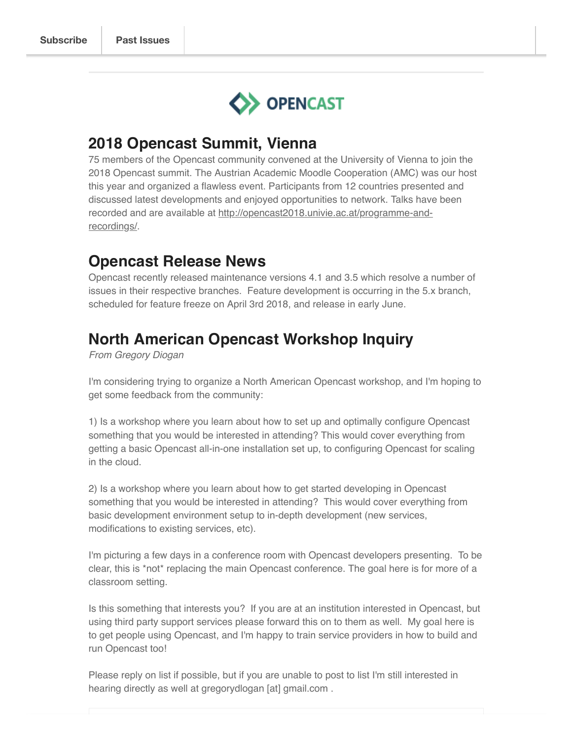

### **2018 Opencast Summit, Vienna**

75 members of the Opencast community convened at the University of Vienna to join the 2018 Opencast summit. The Austrian Academic Moodle Cooperation (AMC) was our host this year and organized a flawless event. Participants from 12 countries presented and discussed latest developments and enjoyed opportunities to network. Talks have been recorded and are available at http://opencast2018.univie.ac.at/programme-andrecordings/.

### **Opencast Release News**

Opencast recently released maintenance versions 4.1 and 3.5 which resolve a number of issues in their respective branches. Feature development is occurring in the 5.x branch, scheduled for feature freeze on April 3rd 2018, and release in early June.

### **North American Opencast Workshop Inquiry**

From Gregory Diogan

I'm considering trying to organize a North American Opencast workshop, and I'm hoping to get some feedback from the community:

1) Is a workshop where you learn about how to set up and optimally configure Opencast something that you would be interested in attending? This would cover everything from getting a basic Opencast all-in-one installation set up, to configuring Opencast for scaling in the cloud.

2) Is a workshop where you learn about how to get started developing in Opencast something that you would be interested in attending? This would cover everything from basic development environment setup to in-depth development (new services, modifications to existing services, etc).

I'm picturing a few days in a conference room with Opencast developers presenting. To be clear, this is \*not\* replacing the main Opencast conference. The goal here is for more of a classroom setting.

Is this something that interests you? If you are at an institution interested in Opencast, but using third party support services please forward this on to them as well. My goal here is to get people using Opencast, and I'm happy to train service providers in how to build and run Opencast too!

Please reply on list if possible, but if you are unable to post to list I'm still interested in hearing directly as well at gregorydlogan [at] gmail.com .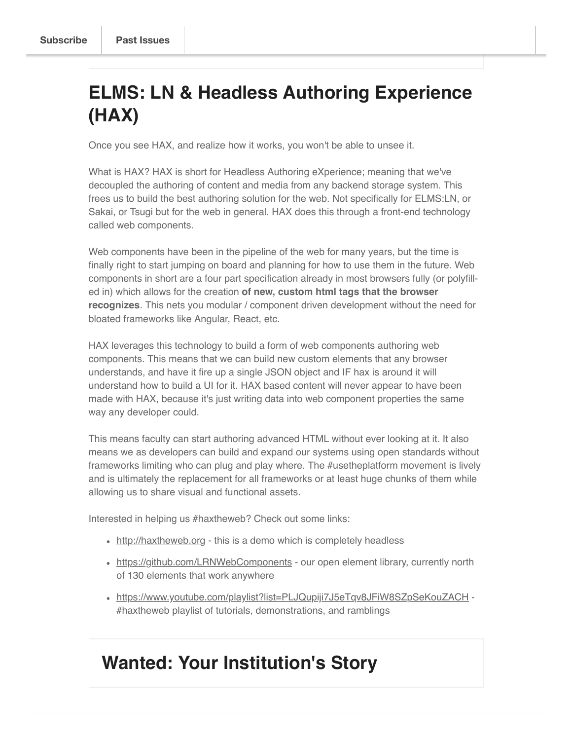## **ELMS: LN & Headless Authoring Experience (HAX)**

Once you see HAX, and realize how it works, you won't be able to unsee it.

What is HAX? HAX is short for Headless Authoring eXperience; meaning that we've decoupled the authoring of content and media from any backend storage system. This frees us to build the best authoring solution for the web. Not specifically for ELMS:LN, or Sakai, or Tsugi but for the web in general. HAX does this through a front-end technology called web components.

Web components have been in the pipeline of the web for many years, but the time is finally right to start jumping on board and planning for how to use them in the future. Web components in short are a four part specification already in most browsers fully (or polyfilled in) which allows for the creation **of new, custom html tags that the browser recognizes**. This nets you modular / component driven development without the need for bloated frameworks like Angular, React, etc.

HAX leverages this technology to build a form of web components authoring web components. This means that we can build new custom elements that any browser understands, and have it fire up a single JSON object and IF hax is around it will understand how to build a UI for it. HAX based content will never appear to have been made with HAX, because it's just writing data into web component properties the same way any developer could.

This means faculty can start authoring advanced HTML without ever looking at it. It also means we as developers can build and expand our systems using open standards without frameworks limiting who can plug and play where. The #usetheplatform movement is lively and is ultimately the replacement for all frameworks or at least huge chunks of them while allowing us to share visual and functional assets.

Interested in helping us #haxtheweb? Check out some links:

- http://haxtheweb.org this is a demo which is completely headless
- https://github.com/LRNWebComponents our open element library, currently north of 130 elements that work anywhere
- https://www.youtube.com/playlist?list=PLJQupiji7J5eTqv8JFiW8SZpSeKouZACH #haxtheweb playlist of tutorials, demonstrations, and ramblings

### **Wanted: Your Institution's Story**